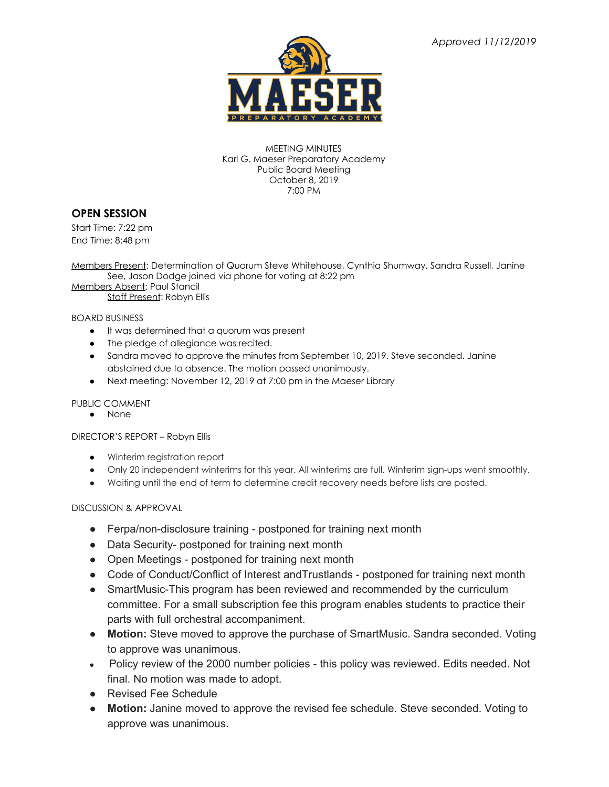

MEETING MINUTES Karl G. Maeser Preparatory Academy Public Board Meeting October 8, 2019 7:00 PM

## **OPEN SESSION**

Start Time: 7:22 pm End Time: 8:48 pm

Members Present: Determination of Quorum Steve Whitehouse, Cynthia Shumway, Sandra Russell, Janine See, Jason Dodge joined via phone for voting at 8:22 pm

Members Absent: Paul Stancil Staff Present: Robyn Ellis

BOARD BUSINESS

- It was determined that a quorum was present
- The pledge of allegiance was recited.
- Sandra moved to approve the minutes from September 10, 2019. Steve seconded. Janine abstained due to absence. The motion passed unanimously.
- Next meeting: November 12, 2019 at 7:00 pm in the Maeser Library

#### PUBLIC COMMENT

● None

#### DIRECTOR'S REPORT – Robyn Ellis

- Winterim registration report
- Only 20 independent winterims for this year. All winterims are full. Winterim sign-ups went smoothly.
- Waiting until the end of term to determine credit recovery needs before lists are posted.

### DISCUSSION & APPROVAL

- Ferpa/non-disclosure training postponed for training next month
- Data Security- postponed for training next month
- Open Meetings postponed for training next month
- Code of Conduct/Conflict of Interest and Trustlands postponed for training next month
- SmartMusic-This program has been reviewed and recommended by the curriculum committee. For a small subscription fee this program enables students to practice their parts with full orchestral accompaniment.
- **Motion:** Steve moved to approve the purchase of SmartMusic. Sandra seconded. Voting to approve was unanimous.
- Policy review of the 2000 number policies this policy was reviewed. Edits needed. Not final. No motion was made to adopt.
- Revised Fee Schedule
- **● Motion:** Janine moved to approve the revised fee schedule. Steve seconded. Voting to approve was unanimous.